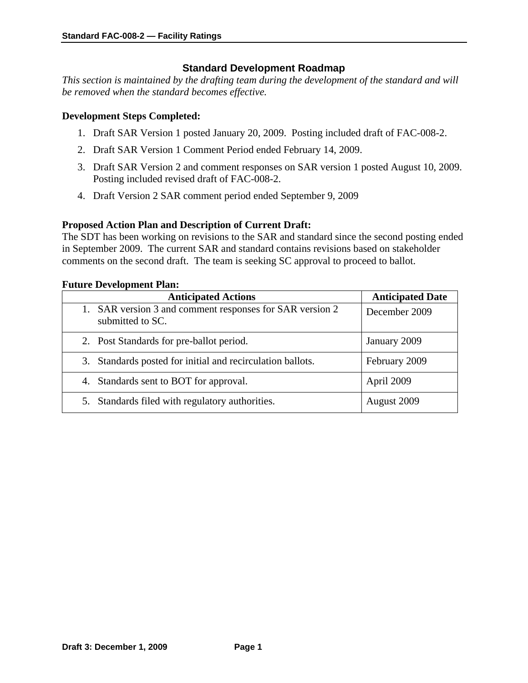# **Standard Development Roadmap**

*This section is maintained by the drafting team during the development of the standard and will be removed when the standard becomes effective.* 

## **Development Steps Completed:**

- 1. Draft SAR Version 1 posted January 20, 2009. Posting included draft of FAC-008-2.
- 2. Draft SAR Version 1 Comment Period ended February 14, 2009.
- 3. Draft SAR Version 2 and comment responses on SAR version 1 posted August 10, 2009. Posting included revised draft of FAC-008-2.
- 4. Draft Version 2 SAR comment period ended September 9, 2009

## **Proposed Action Plan and Description of Current Draft:**

The SDT has been working on revisions to the SAR and standard since the second posting ended in September 2009. The current SAR and standard contains revisions based on stakeholder comments on the second draft. The team is seeking SC approval to proceed to ballot.

## **Future Development Plan:**

| <b>Anticipated Actions</b>                                                   | <b>Anticipated Date</b> |
|------------------------------------------------------------------------------|-------------------------|
| 1. SAR version 3 and comment responses for SAR version 2<br>submitted to SC. | December 2009           |
| 2. Post Standards for pre-ballot period.                                     | January 2009            |
| 3. Standards posted for initial and recirculation ballots.                   | February 2009           |
| 4. Standards sent to BOT for approval.                                       | April 2009              |
| Standards filed with regulatory authorities.<br>5.                           | August 2009             |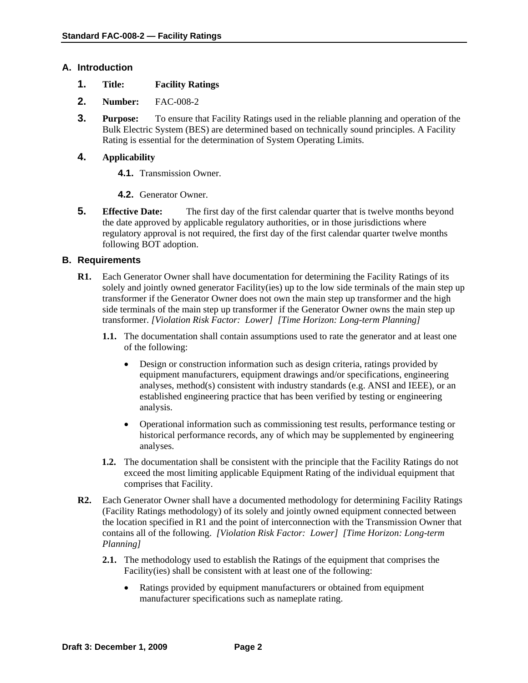## **A. Introduction**

- **1. Title: Facility Ratings**
- **2. Number:** FAC-008-2
- **3. Purpose:** To ensure that Facility Ratings used in the reliable planning and operation of the Bulk Electric System (BES) are determined based on technically sound principles. A Facility Rating is essential for the determination of System Operating Limits.

# **4. Applicability**

- **4.1.** Transmission Owner.
- **4.2.** Generator Owner.
- **5. Effective Date:** The first day of the first calendar quarter that is twelve months beyond the date approved by applicable regulatory authorities, or in those jurisdictions where regulatory approval is not required, the first day of the first calendar quarter twelve months following BOT adoption.

## **B. Requirements**

- **R1.** Each Generator Owner shall have documentation for determining the Facility Ratings of its solely and jointly owned generator Facility(ies) up to the low side terminals of the main step up transformer if the Generator Owner does not own the main step up transformer and the high side terminals of the main step up transformer if the Generator Owner owns the main step up transformer. *[Violation Risk Factor: Lower] [Time Horizon: Long-term Planning]* 
	- **1.1.** The documentation shall contain assumptions used to rate the generator and at least one of the following:
		- Design or construction information such as design criteria, ratings provided by equipment manufacturers, equipment drawings and/or specifications, engineering analyses, method(s) consistent with industry standards (e.g. ANSI and IEEE), or an established engineering practice that has been verified by testing or engineering analysis.
		- Operational information such as commissioning test results, performance testing or historical performance records, any of which may be supplemented by engineering analyses.
	- **1.2.** The documentation shall be consistent with the principle that the Facility Ratings do not exceed the most limiting applicable Equipment Rating of the individual equipment that comprises that Facility.
- **R2.** Each Generator Owner shall have a documented methodology for determining Facility Ratings (Facility Ratings methodology) of its solely and jointly owned equipment connected between the location specified in R1 and the point of interconnection with the Transmission Owner that contains all of the following. *[Violation Risk Factor: Lower] [Time Horizon: Long-term Planning]* 
	- **2.1.** The methodology used to establish the Ratings of the equipment that comprises the Facility(ies) shall be consistent with at least one of the following:
		- Ratings provided by equipment manufacturers or obtained from equipment manufacturer specifications such as nameplate rating.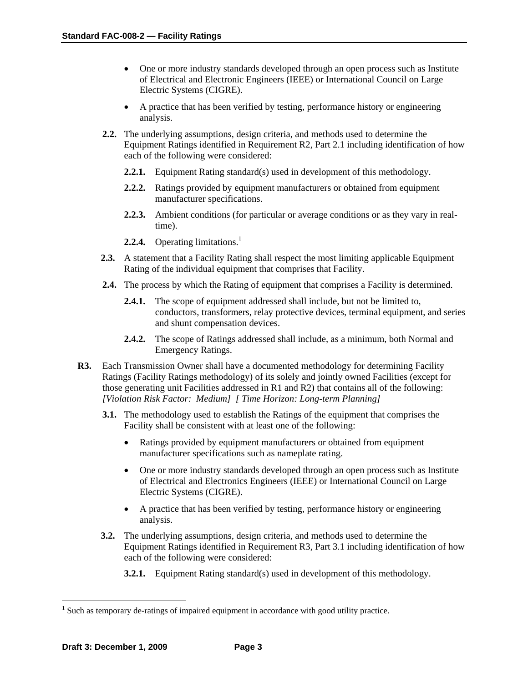- One or more industry standards developed through an open process such as Institute of Electrical and Electronic Engineers (IEEE) or International Council on Large Electric Systems (CIGRE).
- A practice that has been verified by testing, performance history or engineering analysis.
- **2.2.** The underlying assumptions, design criteria, and methods used to determine the Equipment Ratings identified in Requirement R2, Part 2.1 including identification of how each of the following were considered:
	- **2.2.1.** Equipment Rating standard(s) used in development of this methodology.
	- **2.2.2.** Ratings provided by equipment manufacturers or obtained from equipment manufacturer specifications.
	- **2.2.3.** Ambient conditions (for particular or average conditions or as they vary in realtime).
	- **2.2.4.** Operating limitations.<sup>1</sup>
- **2.3.** A statement that a Facility Rating shall respect the most limiting applicable Equipment Rating of the individual equipment that comprises that Facility.
- **2.4.** The process by which the Rating of equipment that comprises a Facility is determined.
	- **2.4.1.** The scope of equipment addressed shall include, but not be limited to, conductors, transformers, relay protective devices, terminal equipment, and series and shunt compensation devices.
	- **2.4.2.** The scope of Ratings addressed shall include, as a minimum, both Normal and Emergency Ratings.
- **R3.** Each Transmission Owner shall have a documented methodology for determining Facility Ratings (Facility Ratings methodology) of its solely and jointly owned Facilities (except for those generating unit Facilities addressed in R1 and R2) that contains all of the following: *[Violation Risk Factor: Medium] [ Time Horizon: Long-term Planning]* 
	- **3.1.** The methodology used to establish the Ratings of the equipment that comprises the Facility shall be consistent with at least one of the following:
		- Ratings provided by equipment manufacturers or obtained from equipment manufacturer specifications such as nameplate rating.
		- One or more industry standards developed through an open process such as Institute of Electrical and Electronics Engineers (IEEE) or International Council on Large Electric Systems (CIGRE).
		- A practice that has been verified by testing, performance history or engineering analysis.
	- **3.2.** The underlying assumptions, design criteria, and methods used to determine the Equipment Ratings identified in Requirement R3, Part 3.1 including identification of how each of the following were considered:
		- **3.2.1.** Equipment Rating standard(s) used in development of this methodology.

 $\overline{a}$ 

 $<sup>1</sup>$  Such as temporary de-ratings of impaired equipment in accordance with good utility practice.</sup>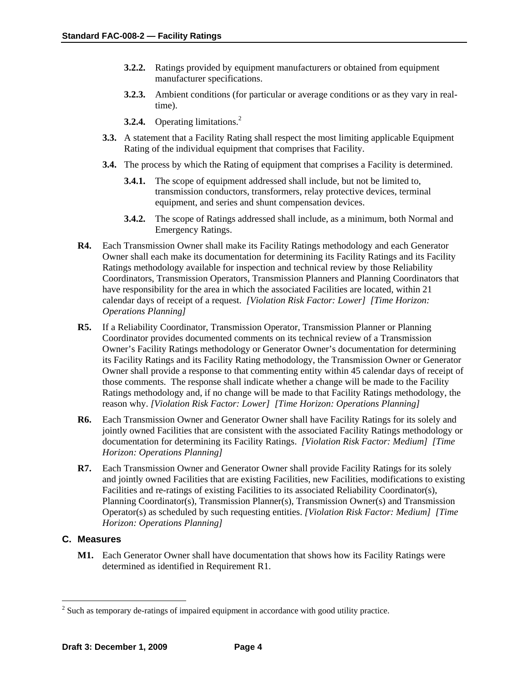- **3.2.2.** Ratings provided by equipment manufacturers or obtained from equipment manufacturer specifications.
- **3.2.3.** Ambient conditions (for particular or average conditions or as they vary in realtime).
- **3.2.4.** Operating limitations.<sup>2</sup>
- **3.3.** A statement that a Facility Rating shall respect the most limiting applicable Equipment Rating of the individual equipment that comprises that Facility.
- **3.4.** The process by which the Rating of equipment that comprises a Facility is determined.
	- **3.4.1.** The scope of equipment addressed shall include, but not be limited to, transmission conductors, transformers, relay protective devices, terminal equipment, and series and shunt compensation devices.
	- **3.4.2.** The scope of Ratings addressed shall include, as a minimum, both Normal and Emergency Ratings.
- **R4.** Each Transmission Owner shall make its Facility Ratings methodology and each Generator Owner shall each make its documentation for determining its Facility Ratings and its Facility Ratings methodology available for inspection and technical review by those Reliability Coordinators, Transmission Operators, Transmission Planners and Planning Coordinators that have responsibility for the area in which the associated Facilities are located, within 21 calendar days of receipt of a request. *[Violation Risk Factor: Lower] [Time Horizon: Operations Planning]*
- **R5.** If a Reliability Coordinator, Transmission Operator, Transmission Planner or Planning Coordinator provides documented comments on its technical review of a Transmission Owner's Facility Ratings methodology or Generator Owner's documentation for determining its Facility Ratings and its Facility Rating methodology, the Transmission Owner or Generator Owner shall provide a response to that commenting entity within 45 calendar days of receipt of those comments. The response shall indicate whether a change will be made to the Facility Ratings methodology and, if no change will be made to that Facility Ratings methodology, the reason why. *[Violation Risk Factor: Lower] [Time Horizon: Operations Planning]*
- **R6.** Each Transmission Owner and Generator Owner shall have Facility Ratings for its solely and jointly owned Facilities that are consistent with the associated Facility Ratings methodology or documentation for determining its Facility Ratings. *[Violation Risk Factor: Medium] [Time Horizon: Operations Planning]*
- **R7.** Each Transmission Owner and Generator Owner shall provide Facility Ratings for its solely and jointly owned Facilities that are existing Facilities, new Facilities, modifications to existing Facilities and re-ratings of existing Facilities to its associated Reliability Coordinator(s), Planning Coordinator(s), Transmission Planner(s), Transmission Owner(s) and Transmission Operator(s) as scheduled by such requesting entities. *[Violation Risk Factor: Medium] [Time Horizon: Operations Planning]*

## **C. Measures**

 $\overline{a}$ 

**M1.** Each Generator Owner shall have documentation that shows how its Facility Ratings were determined as identified in Requirement R1.

 $2^{2}$  Such as temporary de-ratings of impaired equipment in accordance with good utility practice.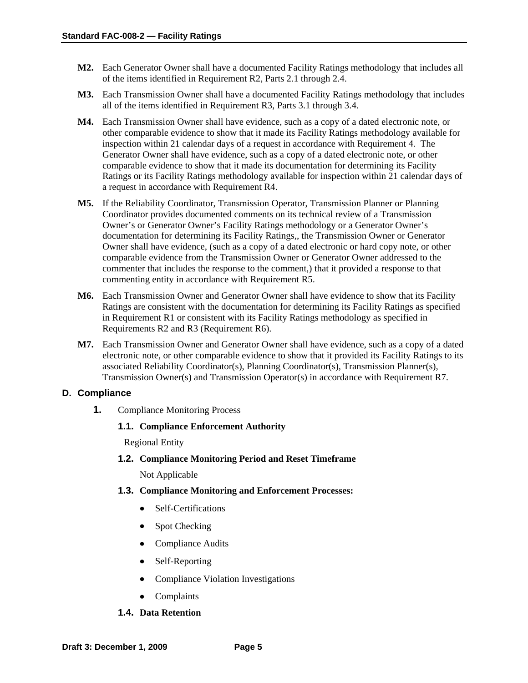- **M2.** Each Generator Owner shall have a documented Facility Ratings methodology that includes all of the items identified in Requirement R2, Parts 2.1 through 2.4.
- **M3.** Each Transmission Owner shall have a documented Facility Ratings methodology that includes all of the items identified in Requirement R3, Parts 3.1 through 3.4.
- **M4.** Each Transmission Owner shall have evidence, such as a copy of a dated electronic note, or other comparable evidence to show that it made its Facility Ratings methodology available for inspection within 21 calendar days of a request in accordance with Requirement 4. The Generator Owner shall have evidence, such as a copy of a dated electronic note, or other comparable evidence to show that it made its documentation for determining its Facility Ratings or its Facility Ratings methodology available for inspection within 21 calendar days of a request in accordance with Requirement R4.
- **M5.** If the Reliability Coordinator, Transmission Operator, Transmission Planner or Planning Coordinator provides documented comments on its technical review of a Transmission Owner's or Generator Owner's Facility Ratings methodology or a Generator Owner's documentation for determining its Facility Ratings,, the Transmission Owner or Generator Owner shall have evidence, (such as a copy of a dated electronic or hard copy note, or other comparable evidence from the Transmission Owner or Generator Owner addressed to the commenter that includes the response to the comment,) that it provided a response to that commenting entity in accordance with Requirement R5.
- **M6.** Each Transmission Owner and Generator Owner shall have evidence to show that its Facility Ratings are consistent with the documentation for determining its Facility Ratings as specified in Requirement R1 or consistent with its Facility Ratings methodology as specified in Requirements R2 and R3 (Requirement R6).
- **M7.** Each Transmission Owner and Generator Owner shall have evidence, such as a copy of a dated electronic note, or other comparable evidence to show that it provided its Facility Ratings to its associated Reliability Coordinator(s), Planning Coordinator(s), Transmission Planner(s), Transmission Owner(s) and Transmission Operator(s) in accordance with Requirement R7.

#### **D. Compliance**

**1.** Compliance Monitoring Process

### **1.1. Compliance Enforcement Authority**

Regional Entity

**1.2. Compliance Monitoring Period and Reset Timeframe**

Not Applicable

- **1.3. Compliance Monitoring and Enforcement Processes:** 
	- Self-Certifications
	- Spot Checking
	- Compliance Audits
	- Self-Reporting
	- Compliance Violation Investigations
	- Complaints
- **1.4. Data Retention**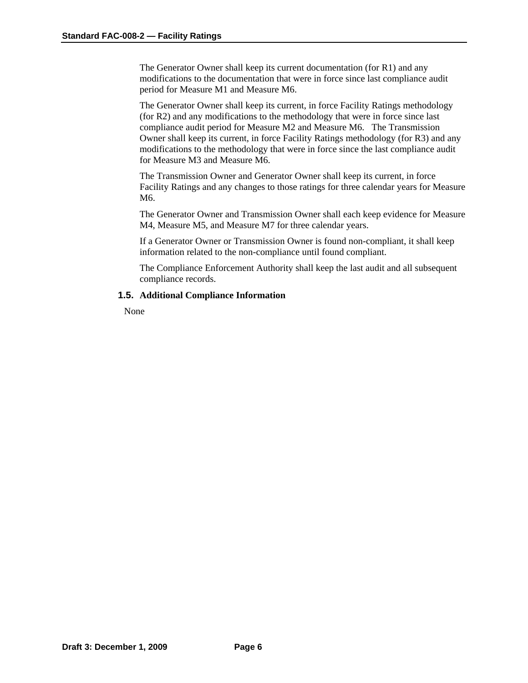The Generator Owner shall keep its current documentation (for R1) and any modifications to the documentation that were in force since last compliance audit period for Measure M1 and Measure M6.

The Generator Owner shall keep its current, in force Facility Ratings methodology (for R2) and any modifications to the methodology that were in force since last compliance audit period for Measure M2 and Measure M6. The Transmission Owner shall keep its current, in force Facility Ratings methodology (for R3) and any modifications to the methodology that were in force since the last compliance audit for Measure M3 and Measure M6.

The Transmission Owner and Generator Owner shall keep its current, in force Facility Ratings and any changes to those ratings for three calendar years for Measure M6.

The Generator Owner and Transmission Owner shall each keep evidence for Measure M4, Measure M5, and Measure M7 for three calendar years.

If a Generator Owner or Transmission Owner is found non-compliant, it shall keep information related to the non-compliance until found compliant.

The Compliance Enforcement Authority shall keep the last audit and all subsequent compliance records.

#### **1.5. Additional Compliance Information**

None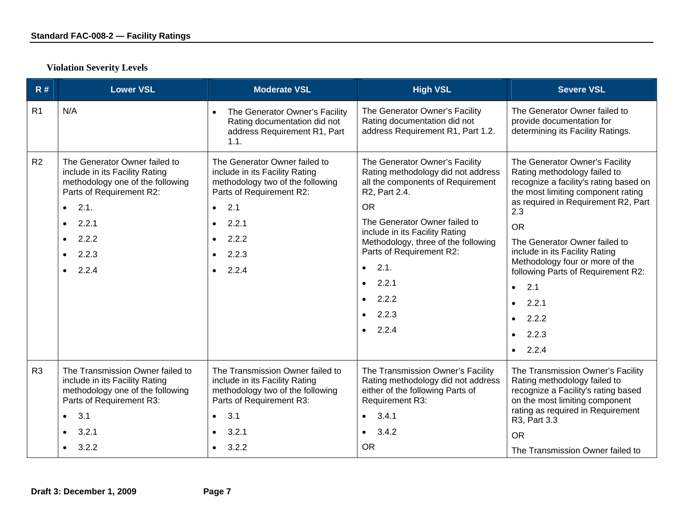| R#             | <b>Lower VSL</b>                                                                                                                                                                                                                       | <b>Moderate VSL</b>                                                                                                                                                                                                                   | <b>High VSL</b>                                                                                                                                                                                                                                                                                                                                                                      | <b>Severe VSL</b>                                                                                                                                                                                                                                                                                                                                                                                                                                    |
|----------------|----------------------------------------------------------------------------------------------------------------------------------------------------------------------------------------------------------------------------------------|---------------------------------------------------------------------------------------------------------------------------------------------------------------------------------------------------------------------------------------|--------------------------------------------------------------------------------------------------------------------------------------------------------------------------------------------------------------------------------------------------------------------------------------------------------------------------------------------------------------------------------------|------------------------------------------------------------------------------------------------------------------------------------------------------------------------------------------------------------------------------------------------------------------------------------------------------------------------------------------------------------------------------------------------------------------------------------------------------|
| R1             | N/A                                                                                                                                                                                                                                    | The Generator Owner's Facility<br>$\bullet$<br>Rating documentation did not<br>address Requirement R1, Part<br>1.1.                                                                                                                   | The Generator Owner's Facility<br>Rating documentation did not<br>address Requirement R1, Part 1.2.                                                                                                                                                                                                                                                                                  | The Generator Owner failed to<br>provide documentation for<br>determining its Facility Ratings.                                                                                                                                                                                                                                                                                                                                                      |
| R2             | The Generator Owner failed to<br>include in its Facility Rating<br>methodology one of the following<br>Parts of Requirement R2:<br>$\bullet$ 2.1.<br>2.2.1<br>$\bullet$<br>$\bullet$ 2.2.2<br>2.2.3<br>$\bullet$<br>2.2.4<br>$\bullet$ | The Generator Owner failed to<br>include in its Facility Rating<br>methodology two of the following<br>Parts of Requirement R2:<br>2.1<br>$\bullet$<br>2.2.1<br>$\bullet$<br>$\bullet$ 2.2.2<br>2.2.3<br>$\bullet$<br>$\bullet$ 2.2.4 | The Generator Owner's Facility<br>Rating methodology did not address<br>all the components of Requirement<br>R2, Part 2.4.<br><b>OR</b><br>The Generator Owner failed to<br>include in its Facility Rating<br>Methodology, three of the following<br>Parts of Requirement R2:<br>2.1.<br>$\bullet$<br>2.2.1<br>$\bullet$<br>2.2.2<br>$\bullet$<br>$\bullet$ 2.2.3<br>$\bullet$ 2.2.4 | The Generator Owner's Facility<br>Rating methodology failed to<br>recognize a facility's rating based on<br>the most limiting component rating<br>as required in Requirement R2, Part<br>2.3<br><b>OR</b><br>The Generator Owner failed to<br>include in its Facility Rating<br>Methodology four or more of the<br>following Parts of Requirement R2:<br>2.1<br>$\bullet$<br>2.2.1<br>2.2.2<br>$\bullet$<br>2.2.3<br>$\bullet$<br>2.2.4<br>$\bullet$ |
| R <sub>3</sub> | The Transmission Owner failed to<br>include in its Facility Rating<br>methodology one of the following<br>Parts of Requirement R3:<br>3.1<br>$\bullet$<br>3.2.1<br>$\bullet$<br>3.2.2<br>$\bullet$                                     | The Transmission Owner failed to<br>include in its Facility Rating<br>methodology two of the following<br>Parts of Requirement R3:<br>3.1<br>$\bullet$<br>3.2.1<br>$\bullet$<br>3.2.2<br>$\bullet$                                    | The Transmission Owner's Facility<br>Rating methodology did not address<br>either of the following Parts of<br>Requirement R3:<br>3.4.1<br>$\bullet$<br>3.4.2<br>$\bullet$<br><b>OR</b>                                                                                                                                                                                              | The Transmission Owner's Facility<br>Rating methodology failed to<br>recognize a Facility's rating based<br>on the most limiting component<br>rating as required in Requirement<br>R3, Part 3.3<br><b>OR</b>                                                                                                                                                                                                                                         |
|                |                                                                                                                                                                                                                                        |                                                                                                                                                                                                                                       |                                                                                                                                                                                                                                                                                                                                                                                      | The Transmission Owner failed to                                                                                                                                                                                                                                                                                                                                                                                                                     |

# **Violation Severity Levels**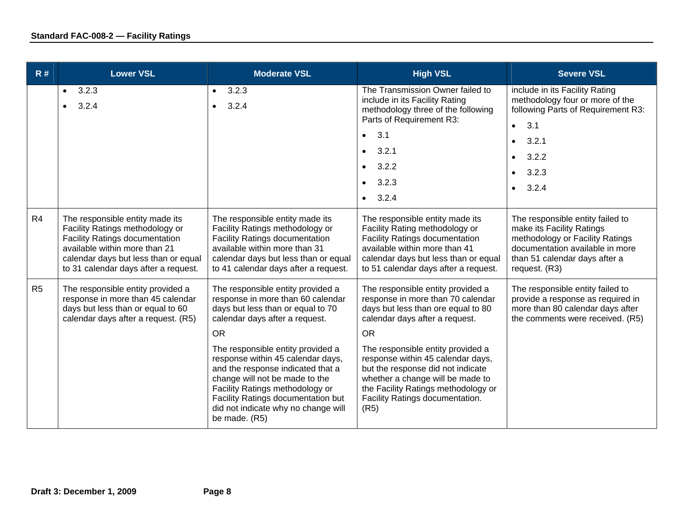| R#             | <b>Lower VSL</b>                                                                                                                                                                                                             | <b>Moderate VSL</b>                                                                                                                                                                                                                                                                                                                                                                                                                          | <b>High VSL</b>                                                                                                                                                                                                                                                                                                                                                                                  | <b>Severe VSL</b>                                                                                                                                                                                     |
|----------------|------------------------------------------------------------------------------------------------------------------------------------------------------------------------------------------------------------------------------|----------------------------------------------------------------------------------------------------------------------------------------------------------------------------------------------------------------------------------------------------------------------------------------------------------------------------------------------------------------------------------------------------------------------------------------------|--------------------------------------------------------------------------------------------------------------------------------------------------------------------------------------------------------------------------------------------------------------------------------------------------------------------------------------------------------------------------------------------------|-------------------------------------------------------------------------------------------------------------------------------------------------------------------------------------------------------|
|                | 3.2.3<br>$\bullet$<br>3.2.4                                                                                                                                                                                                  | 3.2.3<br>$\bullet$<br>3.2.4<br>$\bullet$                                                                                                                                                                                                                                                                                                                                                                                                     | The Transmission Owner failed to<br>include in its Facility Rating<br>methodology three of the following<br>Parts of Requirement R3:<br>3.1<br>$\bullet$<br>3.2.1<br>3.2.2<br>$\bullet$<br>3.2.3<br>$-3.2.4$                                                                                                                                                                                     | include in its Facility Rating<br>methodology four or more of the<br>following Parts of Requirement R3:<br>• 3.1<br>3.2.1<br>$\bullet$<br>3.2.2<br>$\bullet$<br>3.2.3<br>$\bullet$<br>$\bullet$ 3.2.4 |
| R4             | The responsible entity made its<br>Facility Ratings methodology or<br><b>Facility Ratings documentation</b><br>available within more than 21<br>calendar days but less than or equal<br>to 31 calendar days after a request. | The responsible entity made its<br>Facility Ratings methodology or<br><b>Facility Ratings documentation</b><br>available within more than 31<br>calendar days but less than or equal<br>to 41 calendar days after a request.                                                                                                                                                                                                                 | The responsible entity made its<br>Facility Rating methodology or<br><b>Facility Ratings documentation</b><br>available within more than 41<br>calendar days but less than or equal<br>to 51 calendar days after a request.                                                                                                                                                                      | The responsible entity failed to<br>make its Facility Ratings<br>methodology or Facility Ratings<br>documentation available in more<br>than 51 calendar days after a<br>request. (R3)                 |
| R <sub>5</sub> | The responsible entity provided a<br>response in more than 45 calendar<br>days but less than or equal to 60<br>calendar days after a request. (R5)                                                                           | The responsible entity provided a<br>response in more than 60 calendar<br>days but less than or equal to 70<br>calendar days after a request.<br><b>OR</b><br>The responsible entity provided a<br>response within 45 calendar days,<br>and the response indicated that a<br>change will not be made to the<br>Facility Ratings methodology or<br>Facility Ratings documentation but<br>did not indicate why no change will<br>be made. (R5) | The responsible entity provided a<br>response in more than 70 calendar<br>days but less than ore equal to 80<br>calendar days after a request.<br><b>OR</b><br>The responsible entity provided a<br>response within 45 calendar days,<br>but the response did not indicate<br>whether a change will be made to<br>the Facility Ratings methodology or<br>Facility Ratings documentation.<br>(R5) | The responsible entity failed to<br>provide a response as required in<br>more than 80 calendar days after<br>the comments were received. (R5)                                                         |